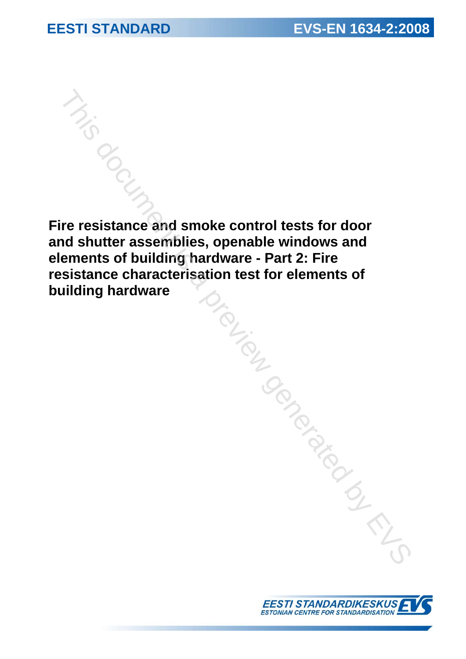**Fire resistance and smoke control tests for door and shutter assemblies, openable windows and elements of building hardware - Part 2: Fire resistance characterisation test for elements of building hardware**  This document is a previous and smoke control tests for door<br>of shutter assemblies, openable windows and<br>enemts of building hardware - Part 2: Fire<br>aliding hardware<br>aliding hardware

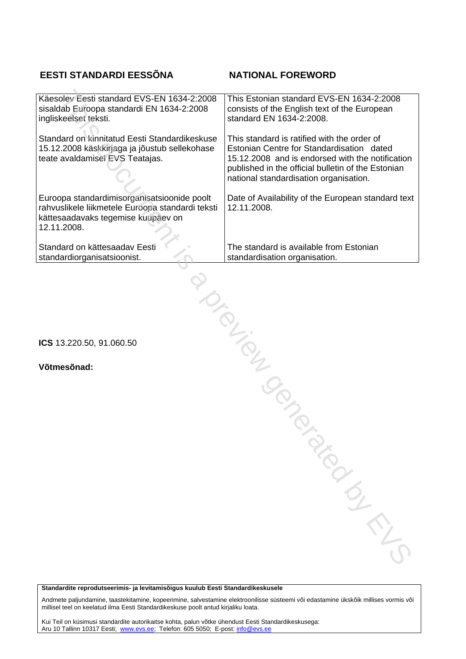### **EESTI STANDARDI EESSÕNA NATIONAL FOREWORD**

| Käesolev Eesti standard EVS-EN 1634-2:2008<br>sisaldab Euroopa standardi EN 1634-2:2008<br>ingliskeelset teksti.                                     | This Estonian standard EVS-EN 1634-2:2008<br>consists of the English text of the European<br>standard EN 1634-2:2008.                                                                                                                        |  |  |  |
|------------------------------------------------------------------------------------------------------------------------------------------------------|----------------------------------------------------------------------------------------------------------------------------------------------------------------------------------------------------------------------------------------------|--|--|--|
| Standard on kinnitatud Eesti Standardikeskuse<br>15.12.2008 käskkirjaga ja jõustub sellekohase<br>teate avaldamisel EVS Teatajas.                    | This standard is ratified with the order of<br>Estonian Centre for Standardisation dated<br>15.12.2008 and is endorsed with the notification<br>published in the official bulletin of the Estonian<br>national standardisation organisation. |  |  |  |
| Euroopa standardimisorganisatsioonide poolt<br>rahvuslikele liikmetele Euroopa standardi teksti<br>kättesaadavaks tegemise kuupäev on<br>12.11.2008. | Date of Availability of the European standard text<br>12.11.2008.                                                                                                                                                                            |  |  |  |
| Standard on kättesaadav Eesti<br>standardiorganisatsioonist.                                                                                         | The standard is available from Estonian<br>standardisation organisation.                                                                                                                                                                     |  |  |  |
| January 10                                                                                                                                           |                                                                                                                                                                                                                                              |  |  |  |
| ICS 13.220.50, 91.060.50                                                                                                                             |                                                                                                                                                                                                                                              |  |  |  |
| Võtmesõnad:                                                                                                                                          |                                                                                                                                                                                                                                              |  |  |  |
|                                                                                                                                                      |                                                                                                                                                                                                                                              |  |  |  |
|                                                                                                                                                      |                                                                                                                                                                                                                                              |  |  |  |
|                                                                                                                                                      |                                                                                                                                                                                                                                              |  |  |  |
|                                                                                                                                                      |                                                                                                                                                                                                                                              |  |  |  |
|                                                                                                                                                      | PARTICIPAL M                                                                                                                                                                                                                                 |  |  |  |

**Standardite reprodutseerimis- ja levitamisõigus kuulub Eesti Standardikeskusele** 

Andmete paljundamine, taastekitamine, kopeerimine, salvestamine elektroonilisse süsteemi või edastamine ükskõik millises vormis või millisel teel on keelatud ilma Eesti Standardikeskuse poolt antud kirjaliku loata.

Kui Teil on küsimusi standardite autorikaitse kohta, palun võtke ühendust Eesti Standardikeskusega: Aru 10 Tallinn 10317 Eesti; www.evs.ee; Telefon: 605 5050; E-post: info@evs.ee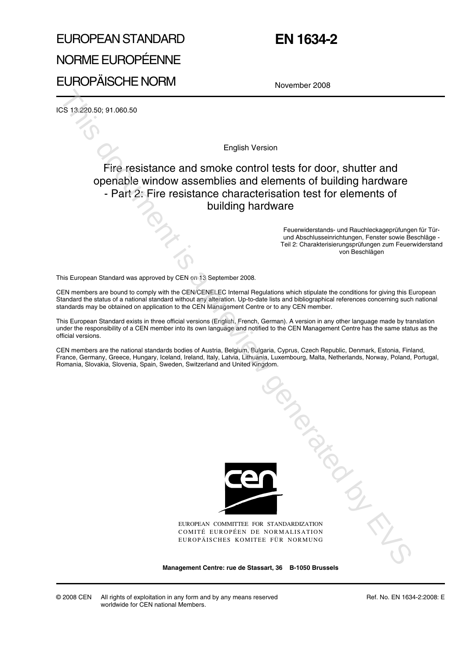# EUROPEAN STANDARD NORME EUROPÉENNE EUROPÄISCHE NORM

## **EN 1634-2**

November 2008

ICS 13.220.50; 91.060.50

English Version

### Fire resistance and smoke control tests for door, shutter and openable window assemblies and elements of building hardware - Part 2: Fire resistance characterisation test for elements of building hardware

Feuerwiderstands- und Rauchleckageprüfungen für Türund Abschlusseinrichtungen, Fenster sowie Beschläge - Teil 2: Charakterisierungsprüfungen zum Feuerwiderstand von Beschlägen

This European Standard was approved by CEN on 13 September 2008.

CEN members are bound to comply with the CEN/CENELEC Internal Regulations which stipulate the conditions for giving this European Standard the status of a national standard without any alteration. Up-to-date lists and bibliographical references concerning such national standards may be obtained on application to the CEN Management Centre or to any CEN member.

This European Standard exists in three official versions (English, French, German). A version in any other language made by translation under the responsibility of a CEN member into its own language and notified to the CEN Management Centre has the same status as the official versions.

CEN members are the national standards bodies of Austria, Belgium, Bulgaria, Cyprus, Czech Republic, Denmark, Estonia, Finland, France, Germany, Greece, Hungary, Iceland, Ireland, Italy, Latvia, Lithuania, Luxembourg, Malta, Netherlands, Norway, Poland, Portugal, Romania, Slovakia, Slovenia, Spain, Sweden, Switzerland and United Kingdom.



EUROPEAN COMMITTEE FOR STANDARDIZATION COMITÉ EUROPÉEN DE NORMALISATION EUROPÄISCHES KOMITEE FÜR NORMUNG January Contractor

**Management Centre: rue de Stassart, 36 B-1050 Brussels**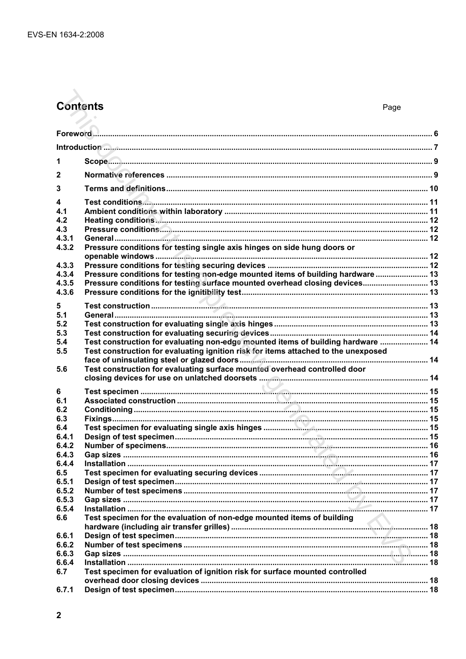### **Contents**

| 1            |                                                                                                    |  |
|--------------|----------------------------------------------------------------------------------------------------|--|
| $\mathbf{2}$ |                                                                                                    |  |
| 3            |                                                                                                    |  |
| 4            |                                                                                                    |  |
| 4.1          |                                                                                                    |  |
| 4.2          |                                                                                                    |  |
| 4.3          |                                                                                                    |  |
| 4.3.1        |                                                                                                    |  |
| 4.3.2        | Pressure conditions for testing single axis hinges on side hung doors or                           |  |
| 4.3.3        |                                                                                                    |  |
| 4.3.4        |                                                                                                    |  |
|              | Pressure conditions for testing non-edge mounted items of building hardware  13                    |  |
| 4.3.5        | Pressure conditions for testing surface mounted overhead closing devices 13                        |  |
| 4.3.6        |                                                                                                    |  |
| 5            |                                                                                                    |  |
| 5.1          |                                                                                                    |  |
| 5.2          |                                                                                                    |  |
| 5.3          |                                                                                                    |  |
| 5.4          | Test construction for evaluating non-edge mounted items of building hardware  14                   |  |
| 5.5          | Test construction for evaluating ignition risk for items attached to the unexposed                 |  |
|              |                                                                                                    |  |
| 5.6          | Test construction for evaluating surface mounted overhead controlled door                          |  |
|              |                                                                                                    |  |
| 6            |                                                                                                    |  |
| 6.1          |                                                                                                    |  |
| 6.2          |                                                                                                    |  |
| 6.3          |                                                                                                    |  |
| 6.4          |                                                                                                    |  |
| 6.4.1        |                                                                                                    |  |
| 6.4.2        |                                                                                                    |  |
| 6.4.3        |                                                                                                    |  |
| 6.4.4        |                                                                                                    |  |
| 6.5          |                                                                                                    |  |
| 6.5.1        |                                                                                                    |  |
| 6.5.2        |                                                                                                    |  |
| 6.5.3        |                                                                                                    |  |
| 6.5.4        |                                                                                                    |  |
| 6.6          | Test specimen for the evaluation of non-edge mounted items of building<br>$\overline{\phantom{0}}$ |  |
|              |                                                                                                    |  |
| 6.6.1        |                                                                                                    |  |
| 6.6.2        |                                                                                                    |  |
| 6.6.3        |                                                                                                    |  |
| 6.6.4        |                                                                                                    |  |
| 6.7          | Test specimen for evaluation of ignition risk for surface mounted controlled                       |  |
|              |                                                                                                    |  |
| 6.7.1        |                                                                                                    |  |
|              |                                                                                                    |  |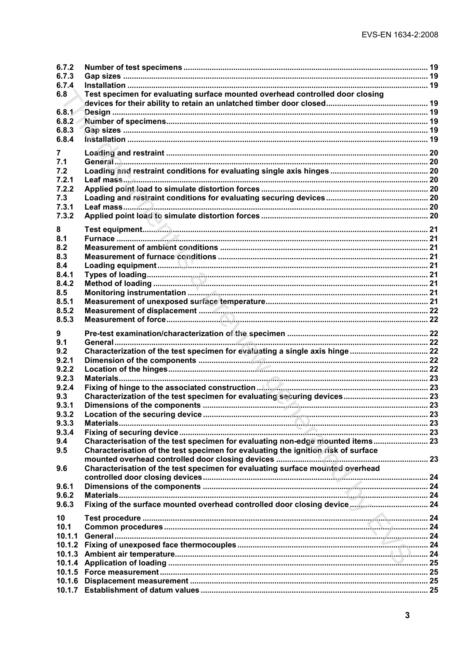| 6.7.2          |                                                                                   |  |
|----------------|-----------------------------------------------------------------------------------|--|
| 6.7.3          |                                                                                   |  |
| 6.7.4          |                                                                                   |  |
| 6.8            | Test specimen for evaluating surface mounted overhead controlled door closing     |  |
|                |                                                                                   |  |
| 6.8.1          |                                                                                   |  |
| 6.8.2          |                                                                                   |  |
| 6.8.3          |                                                                                   |  |
| 6.8.4          |                                                                                   |  |
| 7              |                                                                                   |  |
| 7.1            |                                                                                   |  |
| 7.2            |                                                                                   |  |
| 7.2.1          |                                                                                   |  |
| 7.2.2          |                                                                                   |  |
| 7.3            |                                                                                   |  |
| 7.3.1          |                                                                                   |  |
| 7.3.2          |                                                                                   |  |
| 8              |                                                                                   |  |
| 8.1            |                                                                                   |  |
| 8.2            |                                                                                   |  |
| 8.3            |                                                                                   |  |
| 8.4            |                                                                                   |  |
| 8.4.1          |                                                                                   |  |
| 8.4.2          |                                                                                   |  |
| 8.5            |                                                                                   |  |
| 8.5.1          |                                                                                   |  |
| 8.5.2<br>8.5.3 |                                                                                   |  |
|                |                                                                                   |  |
|                |                                                                                   |  |
| 9              |                                                                                   |  |
| 9.1            |                                                                                   |  |
| 9.2            |                                                                                   |  |
| 9.2.1          |                                                                                   |  |
| 9.2.2          |                                                                                   |  |
| 9.2.3          |                                                                                   |  |
| 9.2.4          |                                                                                   |  |
| 9.3            |                                                                                   |  |
| 9.3.1          |                                                                                   |  |
| 9.3.2          |                                                                                   |  |
| 9.3.3          |                                                                                   |  |
| 9.3.4          |                                                                                   |  |
| 9.4<br>9.5     | Characterisation of the test specimen for evaluating non-edge mounted items 23    |  |
|                | Characterisation of the test specimen for evaluating the ignition risk of surface |  |
| 9.6            |                                                                                   |  |
|                | Characterisation of the test specimen for evaluating surface mounted overhead     |  |
| 9.6.1          |                                                                                   |  |
| 9.6.2          |                                                                                   |  |
| 9.6.3          |                                                                                   |  |
| 10             |                                                                                   |  |
| 10.1           |                                                                                   |  |
| 10.1.1         |                                                                                   |  |
|                |                                                                                   |  |
| 10.1.3         |                                                                                   |  |
| 10.1.4         |                                                                                   |  |
|                |                                                                                   |  |
| 10.1.6         |                                                                                   |  |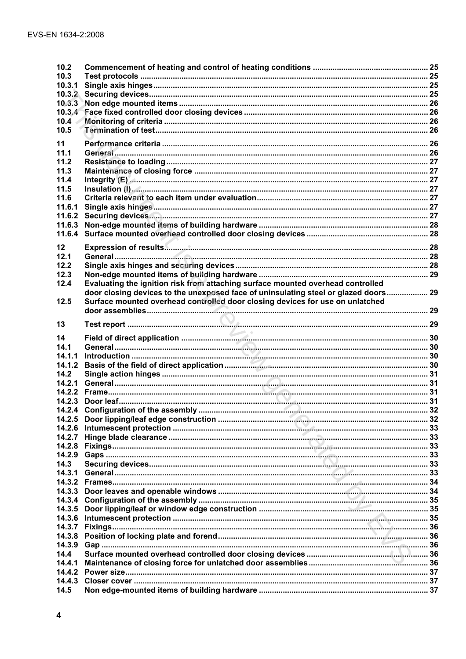| 10.2                |                                                                                                                                                                                                                                                                                                                           |  |
|---------------------|---------------------------------------------------------------------------------------------------------------------------------------------------------------------------------------------------------------------------------------------------------------------------------------------------------------------------|--|
| 10.3                |                                                                                                                                                                                                                                                                                                                           |  |
| 10.3.1              |                                                                                                                                                                                                                                                                                                                           |  |
| $10.3.\overline{2}$ |                                                                                                                                                                                                                                                                                                                           |  |
| 10.3.3              |                                                                                                                                                                                                                                                                                                                           |  |
| 10.3.4              |                                                                                                                                                                                                                                                                                                                           |  |
| 10.4                |                                                                                                                                                                                                                                                                                                                           |  |
| 10.5                |                                                                                                                                                                                                                                                                                                                           |  |
| 11                  |                                                                                                                                                                                                                                                                                                                           |  |
| 11.1                |                                                                                                                                                                                                                                                                                                                           |  |
| 11.2                |                                                                                                                                                                                                                                                                                                                           |  |
| 11.3                |                                                                                                                                                                                                                                                                                                                           |  |
| 11.4                | Integrity (E) <b>A. 27</b> (E) <b>A. 27</b> (E) <b>A. 27</b> (E) <b>A. 27</b> (E) <b>A. 27</b> (E) <b>A. 27</b> (E) <b>A. 27</b> (E) <b>A. 27</b> (E) <b>A. 27</b> (E) <b>A. 27</b> (E) <b>A. 27</b> (E) <b>A. 27</b> (E) <b>A. 27</b> (E) <b>A. 27</b> (E) <b>A. 27</b> (E) <b>A. 27</b> (E) <b>A. 27</b> (E) <b>A. </b> |  |
| 11.5                |                                                                                                                                                                                                                                                                                                                           |  |
| 11.6                |                                                                                                                                                                                                                                                                                                                           |  |
| 11.6.1              |                                                                                                                                                                                                                                                                                                                           |  |
| 11.6.2              |                                                                                                                                                                                                                                                                                                                           |  |
| 11.6.3              |                                                                                                                                                                                                                                                                                                                           |  |
| 11.6.4              |                                                                                                                                                                                                                                                                                                                           |  |
|                     |                                                                                                                                                                                                                                                                                                                           |  |
| 12                  |                                                                                                                                                                                                                                                                                                                           |  |
| 12.1                |                                                                                                                                                                                                                                                                                                                           |  |
| 12.2                |                                                                                                                                                                                                                                                                                                                           |  |
| 12.3                |                                                                                                                                                                                                                                                                                                                           |  |
| 12.4                | Evaluating the ignition risk from attaching surface mounted overhead controlled                                                                                                                                                                                                                                           |  |
| 12.5                | door closing devices to the unexposed face of uninsulating steel or glazed doors 29                                                                                                                                                                                                                                       |  |
|                     | Surface mounted overhead controlled door closing devices for use on unlatched                                                                                                                                                                                                                                             |  |
|                     |                                                                                                                                                                                                                                                                                                                           |  |
| 13                  |                                                                                                                                                                                                                                                                                                                           |  |
|                     |                                                                                                                                                                                                                                                                                                                           |  |
|                     |                                                                                                                                                                                                                                                                                                                           |  |
| 14                  |                                                                                                                                                                                                                                                                                                                           |  |
| 14.1                |                                                                                                                                                                                                                                                                                                                           |  |
| 14.1.1<br>14.1.2    |                                                                                                                                                                                                                                                                                                                           |  |
|                     |                                                                                                                                                                                                                                                                                                                           |  |
| 14.2<br>14.2.1      |                                                                                                                                                                                                                                                                                                                           |  |
|                     |                                                                                                                                                                                                                                                                                                                           |  |
| 14.2.2<br>14.2.3    |                                                                                                                                                                                                                                                                                                                           |  |
|                     |                                                                                                                                                                                                                                                                                                                           |  |
| 14.2.5              |                                                                                                                                                                                                                                                                                                                           |  |
| 14.2.6              |                                                                                                                                                                                                                                                                                                                           |  |
| 14.2.7              |                                                                                                                                                                                                                                                                                                                           |  |
| 14.2.8              |                                                                                                                                                                                                                                                                                                                           |  |
| 14.2.9              |                                                                                                                                                                                                                                                                                                                           |  |
| 14.3                |                                                                                                                                                                                                                                                                                                                           |  |
| 14.3.1              |                                                                                                                                                                                                                                                                                                                           |  |
| 14.3.2              |                                                                                                                                                                                                                                                                                                                           |  |
| 14.3.3              |                                                                                                                                                                                                                                                                                                                           |  |
| 14.3.4              |                                                                                                                                                                                                                                                                                                                           |  |
| 14.3.5              |                                                                                                                                                                                                                                                                                                                           |  |
| 14.3.6              |                                                                                                                                                                                                                                                                                                                           |  |
| 14.3.7              |                                                                                                                                                                                                                                                                                                                           |  |
| 14.3.8              |                                                                                                                                                                                                                                                                                                                           |  |
| 14.3.9              |                                                                                                                                                                                                                                                                                                                           |  |
| 14.4                |                                                                                                                                                                                                                                                                                                                           |  |
| 14.4.1              |                                                                                                                                                                                                                                                                                                                           |  |
| 14.4.2              |                                                                                                                                                                                                                                                                                                                           |  |
| 14.4.3<br>14.5      |                                                                                                                                                                                                                                                                                                                           |  |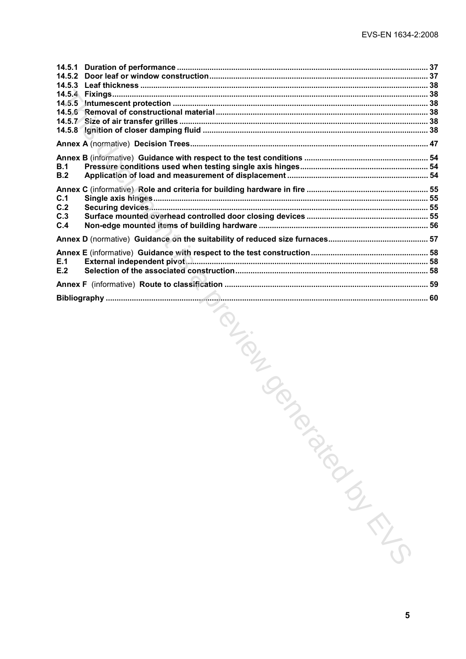| 14.5.1<br>14.5.2 |                              |  |
|------------------|------------------------------|--|
| 14.5.3           |                              |  |
|                  |                              |  |
|                  |                              |  |
| 14.5.8           |                              |  |
|                  |                              |  |
|                  |                              |  |
| B.1<br>B.2       |                              |  |
| C.1<br>C.2       |                              |  |
| C.3<br>C.4       |                              |  |
|                  |                              |  |
| E.1              |                              |  |
| E.2              |                              |  |
|                  |                              |  |
|                  |                              |  |
|                  | TOL TOL SON<br>January 11/11 |  |
|                  | 5                            |  |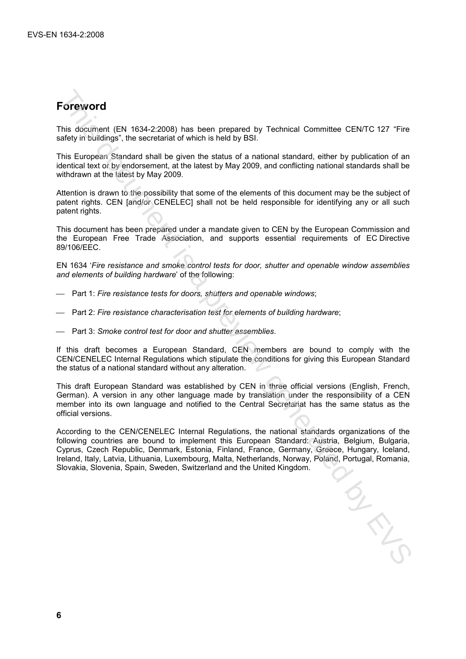## **Foreword**

This document (EN 1634-2:2008) has been prepared by Technical Committee CEN/TC 127 "Fire safety in buildings", the secretariat of which is held by BSI.

This European Standard shall be given the status of a national standard, either by publication of an identical text or by endorsement, at the latest by May 2009, and conflicting national standards shall be withdrawn at the latest by May 2009.

Attention is drawn to the possibility that some of the elements of this document may be the subject of patent rights. CEN [and/or CENELEC] shall not be held responsible for identifying any or all such patent rights.

This document has been prepared under a mandate given to CEN by the European Commission and the European Free Trade Association, and supports essential requirements of EC Directive 89/106/EEC.

EN 1634 '*Fire resistance and smoke control tests for door, shutter and openable window assemblies and elements of building hardware*' of the following:

- Part 1: *Fire resistance tests for doors, shutters and openable windows*;
- Part 2: *Fire resistance characterisation test for elements of building hardware*;
- Part 3: *Smoke control test for door and shutter assemblies*.

If this draft becomes a European Standard, CEN members are bound to comply with the CEN/CENELEC Internal Regulations which stipulate the conditions for giving this European Standard the status of a national standard without any alteration.

This draft European Standard was established by CEN in three official versions (English, French, German). A version in any other language made by translation under the responsibility of a CEN member into its own language and notified to the Central Secretariat has the same status as the official versions.

According to the CEN/CENELEC Internal Regulations, the national standards organizations of the following countries are bound to implement this European Standard: Austria, Belgium, Bulgaria, Cyprus, Czech Republic, Denmark, Estonia, Finland, France, Germany, Greece, Hungary, Iceland, Ireland, Italy, Latvia, Lithuania, Luxembourg, Malta, Netherlands, Norway, Poland, Portugal, Romania, Slovakia, Slovenia, Spain, Sweden, Switzerland and the United Kingdom. **Foreword**<br>
This document (EN 1634-2.2008) has been prepared by Technical Committee CENTC 127 "Fire<br>
sidely in buildings", the secretaria of which is held by (BSI)<br>
This European Standard state of the grassing of a nationa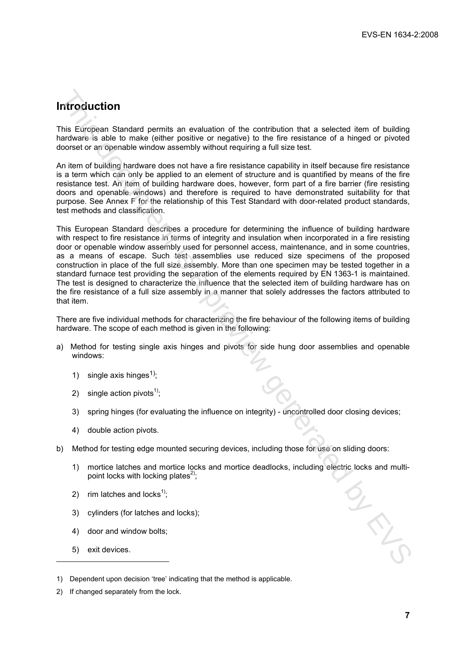### **Introduction**

This European Standard permits an evaluation of the contribution that a selected item of building hardware is able to make (either positive or negative) to the fire resistance of a hinged or pivoted doorset or an openable window assembly without requiring a full size test.

An item of building hardware does not have a fire resistance capability in itself because fire resistance is a term which can only be applied to an element of structure and is quantified by means of the fire resistance test. An item of building hardware does, however, form part of a fire barrier (fire resisting doors and openable windows) and therefore is required to have demonstrated suitability for that purpose. See Annex F for the relationship of this Test Standard with door-related product standards, test methods and classification.

This European Standard describes a procedure for determining the influence of building hardware with respect to fire resistance in terms of integrity and insulation when incorporated in a fire resisting door or openable window assembly used for personnel access, maintenance, and in some countries, as a means of escape. Such test assemblies use reduced size specimens of the proposed construction in place of the full size assembly. More than one specimen may be tested together in a standard furnace test providing the separation of the elements required by EN 1363-1 is maintained. The test is designed to characterize the influence that the selected item of building hardware has on the fire resistance of a full size assembly in a manner that solely addresses the factors attributed to that item. **nitroduction**<br>This European Standard permits an evaluation of the contribution that a selected term of building<br>andware is able to make (either positive or negative) to the foreststance<br>forests a previous consider a previ

There are five individual methods for characterizing the fire behaviour of the following items of building hardware. The scope of each method is given in the following:

- a) Method for testing single axis hinges and pivots for side hung door assemblies and openable windows:
	- 1) single axis hinges<sup>1)</sup>;
	- 2) single action pivots<sup>1)</sup>;
	- 3) spring hinges (for evaluating the influence on integrity) uncontrolled door closing devices;
	- 4) double action pivots.
- b) Method for testing edge mounted securing devices, including those for use on sliding doors:
	- 1) mortice latches and mortice locks and mortice deadlocks, including electric locks and multipoint locks with locking plates<sup>2)</sup>;
	- 2) rim latches and locks<sup>1)</sup>;
	- 3) cylinders (for latches and locks);
	- 4) door and window bolts;
	- 5) exit devices.

l

2) If changed separately from the lock.

<sup>1)</sup> Dependent upon decision 'tree' indicating that the method is applicable.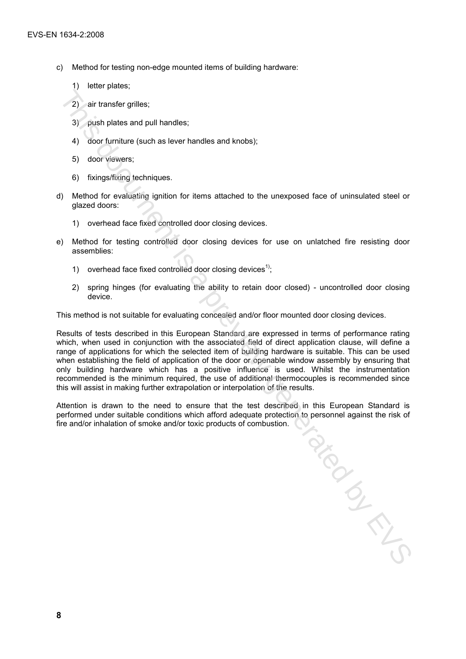- c) Method for testing non-edge mounted items of building hardware:
	- 1) letter plates;
	- 2) air transfer grilles;
	- 3) push plates and pull handles;
	- 4) door furniture (such as lever handles and knobs);
	- 5) door viewers;
	- 6) fixings/fixing techniques.
- d) Method for evaluating ignition for items attached to the unexposed face of uninsulated steel or glazed doors:
	- 1) overhead face fixed controlled door closing devices.
- e) Method for testing controlled door closing devices for use on unlatched fire resisting door assemblies:
	- 1) overhead face fixed controlled door closing devices<sup>1)</sup>:
	- 2) spring hinges (for evaluating the ability to retain door closed) uncontrolled door closing device.

This method is not suitable for evaluating concealed and/or floor mounted door closing devices.

Results of tests described in this European Standard are expressed in terms of performance rating which, when used in conjunction with the associated field of direct application clause, will define a range of applications for which the selected item of building hardware is suitable. This can be used when establishing the field of application of the door or openable window assembly by ensuring that only building hardware which has a positive influence is used. Whilst the instrumentation recommended is the minimum required, the use of additional thermocouples is recommended since this will assist in making further extrapolation or interpolation of the results.

Attention is drawn to the need to ensure that the test described in this European Standard is performed under suitable conditions which afford adequate protection to personnel against the risk of fire and/or inhalation of smoke and/or toxic products of combustion. Previous Cr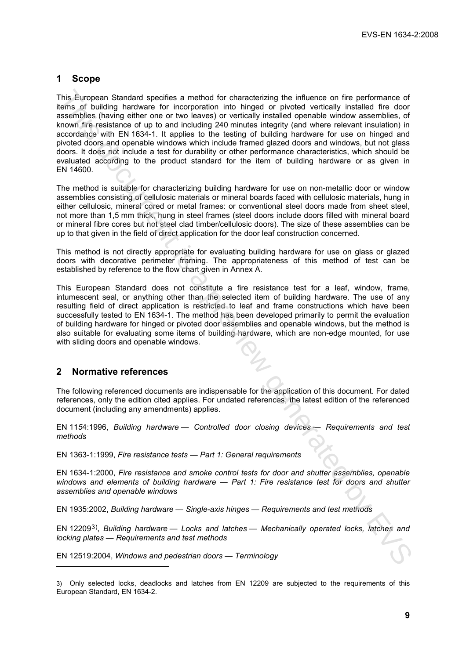### **1 Scope**

This European Standard specifies a method for characterizing the influence on fire performance of items of building hardware for incorporation into hinged or pivoted vertically installed fire door assemblies (having either one or two leaves) or vertically installed openable window assemblies, of known fire resistance of up to and including 240 minutes integrity (and where relevant insulation) in accordance with EN 1634-1. It applies to the testing of building hardware for use on hinged and pivoted doors and openable windows which include framed glazed doors and windows, but not glass doors. It does not include a test for durability or other performance characteristics, which should be evaluated according to the product standard for the item of building hardware or as given in EN 14600. The Luimostan Standard specifies a method for characterizaring the inhene on the performance of the performance of the performance of the performance of the performance of the performance of the performance of the bar and

The method is suitable for characterizing building hardware for use on non-metallic door or window assemblies consisting of cellulosic materials or mineral boards faced with cellulosic materials, hung in either cellulosic, mineral cored or metal frames: or conventional steel doors made from sheet steel, not more than 1,5 mm thick, hung in steel frames (steel doors include doors filled with mineral board or mineral fibre cores but not steel clad timber/cellulosic doors). The size of these assemblies can be up to that given in the field of direct application for the door leaf construction concerned.

This method is not directly appropriate for evaluating building hardware for use on glass or glazed doors with decorative perimeter framing. The appropriateness of this method of test can be established by reference to the flow chart given in Annex A.

This European Standard does not constitute a fire resistance test for a leaf, window, frame, intumescent seal, or anything other than the selected item of building hardware. The use of any resulting field of direct application is restricted to leaf and frame constructions which have been successfully tested to EN 1634-1. The method has been developed primarily to permit the evaluation of building hardware for hinged or pivoted door assemblies and openable windows, but the method is also suitable for evaluating some items of building hardware, which are non-edge mounted, for use with sliding doors and openable windows.

#### **2 Normative references**

l

The following referenced documents are indispensable for the application of this document. For dated references, only the edition cited applies. For undated references, the latest edition of the referenced document (including any amendments) applies.

EN 11*5*4:1996, *Building hardware — Controlled door closing devices — Requirements and test methods* 

EN 1363-1:1999, *Fire resistance tests — Part 1: General requirements*

EN 1634-1:2000, *Fire resistance and smoke control tests for door and shutter assemblies, openable windows and elements of building hardware — Part 1: Fire resistance test for doors and shutter assemblies and openable windows*

EN 1935:2002, *Building hardware — Single-axis hinges — Requirements and test methods* 

EN 122093), *Building hardware — Locks and latches — Mechanically operated locks, latches and locking plates — Requirements and test methods*

EN 12519:2004, *Windows and pedestrian doors — Terminology*

<sup>3)</sup> Only selected locks, deadlocks and latches from EN 12209 are subjected to the requirements of this European Standard, EN 1634-2.